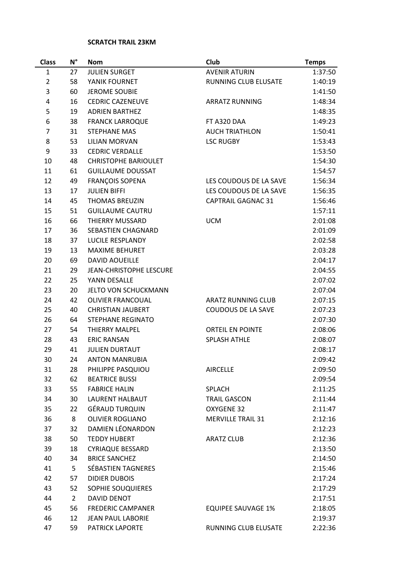## **SCRATCH TRAIL 23KM**

| <b>Class</b>   | $N^{\circ}$    | <b>Nom</b>                  | Club                        | <b>Temps</b> |
|----------------|----------------|-----------------------------|-----------------------------|--------------|
| 1              | 27             | <b>JULIEN SURGET</b>        | <b>AVENIR ATURIN</b>        | 1:37:50      |
| $\overline{2}$ | 58             | YANIK FOURNET               | <b>RUNNING CLUB ELUSATE</b> | 1:40:19      |
| 3              | 60             | <b>JEROME SOUBIE</b>        |                             | 1:41:50      |
| 4              | 16             | <b>CEDRIC CAZENEUVE</b>     | <b>ARRATZ RUNNING</b>       | 1:48:34      |
| 5              | 19             | <b>ADRIEN BARTHEZ</b>       |                             | 1:48:35      |
| 6              | 38             | <b>FRANCK LARROQUE</b>      | FT A320 DAA                 | 1:49:23      |
| $\overline{7}$ | 31             | <b>STEPHANE MAS</b>         | <b>AUCH TRIATHLON</b>       | 1:50:41      |
| 8              | 53             | <b>LILIAN MORVAN</b>        | <b>LSC RUGBY</b>            | 1:53:43      |
| 9              | 33             | <b>CEDRIC VERDALLE</b>      |                             | 1:53:50      |
| 10             | 48             | <b>CHRISTOPHE BARIOULET</b> |                             | 1:54:30      |
| 11             | 61             | <b>GUILLAUME DOUSSAT</b>    |                             | 1:54:57      |
| 12             | 49             | <b>FRANÇOIS SOPENA</b>      | LES COUDOUS DE LA SAVE      | 1:56:34      |
| 13             | 17             | <b>JULIEN BIFFI</b>         | LES COUDOUS DE LA SAVE      | 1:56:35      |
| 14             | 45             | <b>THOMAS BREUZIN</b>       | <b>CAPTRAIL GAGNAC 31</b>   | 1:56:46      |
| 15             | 51             | <b>GUILLAUME CAUTRU</b>     |                             | 1:57:11      |
| 16             | 66             | <b>THIERRY MUSSARD</b>      | <b>UCM</b>                  | 2:01:08      |
| 17             | 36             | SEBASTIEN CHAGNARD          |                             | 2:01:09      |
| 18             | 37             | LUCILE RESPLANDY            |                             | 2:02:58      |
| 19             | 13             | <b>MAXIME BEHURET</b>       |                             | 2:03:28      |
| 20             | 69             | <b>DAVID AOUEILLE</b>       |                             | 2:04:17      |
| 21             | 29             | JEAN-CHRISTOPHE LESCURE     |                             | 2:04:55      |
| 22             | 25             | YANN DESALLE                |                             | 2:07:02      |
| 23             | 20             | <b>JELTO VON SCHUCKMANN</b> |                             | 2:07:04      |
| 24             | 42             | <b>OLIVIER FRANCOUAL</b>    | <b>ARATZ RUNNING CLUB</b>   | 2:07:15      |
| 25             | 40             | <b>CHRISTIAN JAUBERT</b>    | <b>COUDOUS DE LA SAVE</b>   | 2:07:23      |
| 26             | 64             | <b>STEPHANE REGINATO</b>    |                             | 2:07:30      |
| 27             | 54             | THIERRY MALPEL              | <b>ORTEIL EN POINTE</b>     | 2:08:06      |
| 28             | 43             | <b>ERIC RANSAN</b>          | <b>SPLASH ATHLE</b>         | 2:08:07      |
| 29             | 41             | <b>JULIEN DURTAUT</b>       |                             | 2:08:17      |
| 30             | 24             | <b>ANTON MANRUBIA</b>       |                             | 2:09:42      |
| 31             | 28             | PHILIPPE PASQUIOU           | AIRCELLE                    | 2:09:50      |
| 32             | 62             | <b>BEATRICE BUSSI</b>       |                             | 2:09:54      |
| 33             | 55             | <b>FABRICE HALIN</b>        | SPLACH                      | 2:11:25      |
| 34             | 30             | <b>LAURENT HALBAUT</b>      | <b>TRAIL GASCON</b>         | 2:11:44      |
| 35             | 22             | <b>GÉRAUD TURQUIN</b>       | OXYGENE 32                  | 2:11:47      |
| 36             | 8              | <b>OLIVIER ROGLIANO</b>     | <b>MERVILLE TRAIL 31</b>    | 2:12:16      |
| 37             | 32             | DAMIEN LÉONARDON            |                             | 2:12:23      |
| 38             | 50             | <b>TEDDY HUBERT</b>         | <b>ARATZ CLUB</b>           | 2:12:36      |
| 39             | 18             | <b>CYRIAQUE BESSARD</b>     |                             | 2:13:50      |
| 40             | 34             | <b>BRICE SANCHEZ</b>        |                             | 2:14:50      |
| 41             | 5              | <b>SÉBASTIEN TAGNERES</b>   |                             | 2:15:46      |
| 42             | 57             | <b>DIDIER DUBOIS</b>        |                             | 2:17:24      |
| 43             | 52             | SOPHIE SOUQUIERES           |                             | 2:17:29      |
| 44             | $\overline{2}$ | DAVID DENOT                 |                             | 2:17:51      |
| 45             | 56             | <b>FREDERIC CAMPANER</b>    | <b>EQUIPEE SAUVAGE 1%</b>   | 2:18:05      |
| 46             | 12             | <b>JEAN PAUL LABORIE</b>    |                             | 2:19:37      |
| 47             | 59             | <b>PATRICK LAPORTE</b>      | RUNNING CLUB ELUSATE        | 2:22:36      |